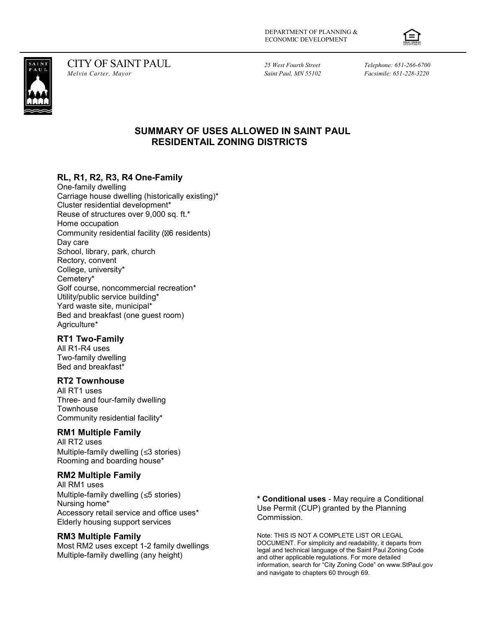



CITY OF SAINT PAUL<br>
Melvin Carter, Mayor Melvin Carter, Mayor (Melvin Carter, Mayor Saint Paul, MN 55102 Facsimile: 651-228-3220

Facsimile: 651-228-3220

# SUMMARY OF USES ALLOWED IN SAINT PAUL RESIDENTAIL ZONING DISTRICTS

## RL, R1, R2, R3, R4 One-Family

One-family dwelling Carriage house dwelling (historically existing)\* Cluster residential development\* Reuse of structures over 9,000 sq. ft.\* Home occupation Community residential facility ( $\text{\%}6$  residents) Day care School, library, park, church Rectory, convent College, university\* Cemetery\* Golf course, noncommercial recreation\* Utility/public service building\* Yard waste site, municipal\* Bed and breakfast (one guest room) Agriculture\*

### RT1 Two-Family

All R1-R4 uses Two-family dwelling Bed and breakfast\*

### RT2 Townhouse

All RT1 uses Three- and four-family dwelling **Townhouse** Community residential facility\*

### RM1 Multiple Family

All RT2 uses Multiple-family dwelling  $(\leq 3$  stories) Rooming and boarding house\*

### RM2 Multiple Family

All RM1 uses Multiple-family dwelling  $( \leq 5 \text{ stories})$ Nursing home\* Accessory retail service and office uses\* Elderly housing support services

#### RM3 Multiple Family

Most RM2 uses except 1-2 family dwellings Multiple-family dwelling (any height)

\* Conditional uses - May require a Conditional Use Permit (CUP) granted by the Planning Commission.

Note: THIS IS NOT A COMPLETE LIST OR LEGAL DOCUMENT. For simplicity and readability, it departs from legal and technical language of the Saint Paul Zoning Code and other applicable regulations. For more detailed information, search for "City Zoning Code" on www.StPaul.gov and navigate to chapters 60 through 69.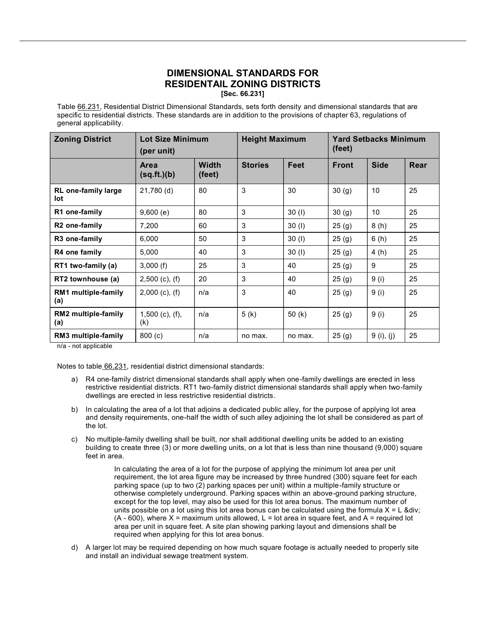### DIMENSIONAL STANDARDS FOR RESIDENTAIL ZONING DISTRICTS [Sec. 66.231]

Table 66.231, Residential District Dimensional Standards, sets forth density and dimensional standards that are specific to residential districts. These standards are in addition to the provisions of chapter 63, regulations of general applicability.

| <b>Zoning District</b>            | <b>Lot Size Minimum</b><br>(per unit) |                        | <b>Height Maximum</b> |          | <b>Yard Setbacks Minimum</b><br>(feet) |             |      |
|-----------------------------------|---------------------------------------|------------------------|-----------------------|----------|----------------------------------------|-------------|------|
|                                   | Area<br>(sq.fit.)(b)                  | <b>Width</b><br>(feet) | <b>Stories</b>        | Feet     | <b>Front</b>                           | <b>Side</b> | Rear |
| <b>RL</b> one-family large<br>lot | 21,780 (d)                            | 80                     | 3                     | 30       | 30 <sub>(g)</sub>                      | 10          | 25   |
| R1 one-family                     | 9,600(e)                              | 80                     | 3                     | 30(1)    | 30 <sub>(g)</sub>                      | 10          | 25   |
| R <sub>2</sub> one-family         | 7,200                                 | 60                     | 3                     | 30(1)    | 25(g)                                  | 8(h)        | 25   |
| R <sub>3</sub> one-family         | 6,000                                 | 50                     | 3                     | 30(1)    | 25(g)                                  | 6(h)        | 25   |
| R4 one family                     | 5,000                                 | 40                     | 3                     | 30(1)    | 25(g)                                  | 4(h)        | 25   |
| RT1 two-family (a)                | 3,000(f)                              | 25                     | 3                     | 40       | 25(9)                                  | 9           | 25   |
| RT2 townhouse (a)                 | $2,500$ (c), (f)                      | 20                     | 3                     | 40       | 25(g)                                  | 9(i)        | 25   |
| RM1 multiple-family<br>(a)        | $2,000$ (c), (f)                      | n/a                    | 3                     | 40       | 25(g)                                  | 9(i)        | 25   |
| <b>RM2 multiple-family</b><br>(a) | $1,500$ (c), (f),<br>(k)              | n/a                    | 5(k)                  | 50 $(k)$ | 25(g)                                  | 9(i)        | 25   |
| RM3 multiple-family               | 800(c)                                | n/a                    | no max.               | no max.  | 25(g)                                  | 9 (i), (j)  | 25   |

n/a - not applicable

Notes to table 66.231, residential district dimensional standards:

- a) R4 one-family district dimensional standards shall apply when one-family dwellings are erected in less restrictive residential districts. RT1 two-family district dimensional standards shall apply when two-family dwellings are erected in less restrictive residential districts.
- b) In calculating the area of a lot that adjoins a dedicated public alley, for the purpose of applying lot area and density requirements, one-half the width of such alley adjoining the lot shall be considered as part of the lot.
- c) No multiple-family dwelling shall be built, nor shall additional dwelling units be added to an existing building to create three (3) or more dwelling units, on a lot that is less than nine thousand (9,000) square feet in area.

In calculating the area of a lot for the purpose of applying the minimum lot area per unit requirement, the lot area figure may be increased by three hundred (300) square feet for each parking space (up to two (2) parking spaces per unit) within a multiple-family structure or otherwise completely underground. Parking spaces within an above-ground parking structure, except for the top level, may also be used for this lot area bonus. The maximum number of units possible on a lot using this lot area bonus can be calculated using the formula  $X = L$  ÷  $(A - 600)$ , where X = maximum units allowed, L = lot area in square feet, and A = required lot area per unit in square feet. A site plan showing parking layout and dimensions shall be required when applying for this lot area bonus.

d) A larger lot may be required depending on how much square footage is actually needed to properly site and install an individual sewage treatment system.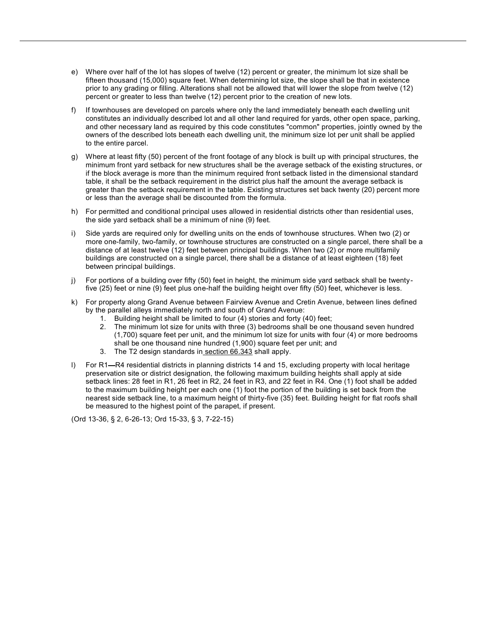- e) Where over half of the lot has slopes of twelve (12) percent or greater, the minimum lot size shall be fifteen thousand (15,000) square feet. When determining lot size, the slope shall be that in existence prior to any grading or filling. Alterations shall not be allowed that will lower the slope from twelve (12) percent or greater to less than twelve (12) percent prior to the creation of new lots.
- f) If townhouses are developed on parcels where only the land immediately beneath each dwelling unit constitutes an individually described lot and all other land required for yards, other open space, parking, and other necessary land as required by this code constitutes "common" properties, jointly owned by the owners of the described lots beneath each dwelling unit, the minimum size lot per unit shall be applied to the entire parcel.
- g) Where at least fifty (50) percent of the front footage of any block is built up with principal structures, the minimum front yard setback for new structures shall be the average setback of the existing structures, or if the block average is more than the minimum required front setback listed in the dimensional standard table, it shall be the setback requirement in the district plus half the amount the average setback is greater than the setback requirement in the table. Existing structures set back twenty (20) percent more or less than the average shall be discounted from the formula.
- h) For permitted and conditional principal uses allowed in residential districts other than residential uses, the side yard setback shall be a minimum of nine (9) feet.
- i) Side yards are required only for dwelling units on the ends of townhouse structures. When two (2) or more one-family, two-family, or townhouse structures are constructed on a single parcel, there shall be a distance of at least twelve (12) feet between principal buildings. When two (2) or more multifamily buildings are constructed on a single parcel, there shall be a distance of at least eighteen (18) feet between principal buildings.
- j) For portions of a building over fifty (50) feet in height, the minimum side yard setback shall be twentyfive (25) feet or nine (9) feet plus one-half the building height over fifty (50) feet, whichever is less.
- k) For property along Grand Avenue between Fairview Avenue and Cretin Avenue, between lines defined by the parallel alleys immediately north and south of Grand Avenue:
	- 1. Building height shall be limited to four (4) stories and forty (40) feet;
	- 2. The minimum lot size for units with three (3) bedrooms shall be one thousand seven hundred (1,700) square feet per unit, and the minimum lot size for units with four (4) or more bedrooms shall be one thousand nine hundred (1,900) square feet per unit; and
	- 3. The T2 design standards in section 66.343 shall apply.
- l) For R1—R4 residential districts in planning districts 14 and 15, excluding property with local heritage preservation site or district designation, the following maximum building heights shall apply at side setback lines: 28 feet in R1, 26 feet in R2, 24 feet in R3, and 22 feet in R4. One (1) foot shall be added to the maximum building height per each one (1) foot the portion of the building is set back from the nearest side setback line, to a maximum height of thirty-five (35) feet. Building height for flat roofs shall be measured to the highest point of the parapet, if present.

(Ord 13-36, § 2, 6-26-13; Ord 15-33, § 3, 7-22-15)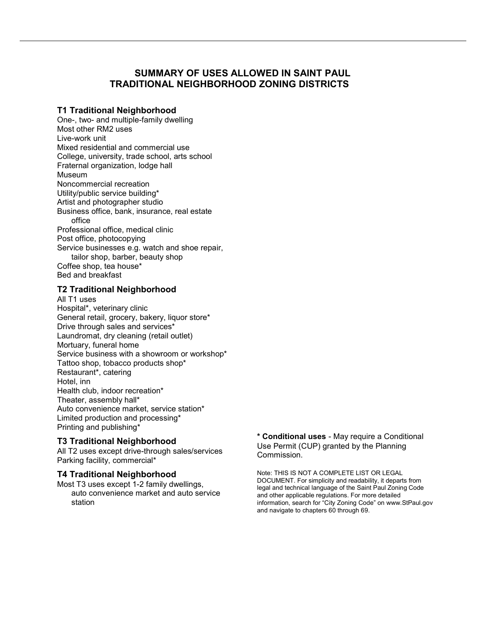# SUMMARY OF USES ALLOWED IN SAINT PAUL TRADITIONAL NEIGHBORHOOD ZONING DISTRICTS

### T1 Traditional Neighborhood

One-, two- and multiple-family dwelling Most other RM2 uses Live-work unit Mixed residential and commercial use College, university, trade school, arts school Fraternal organization, lodge hall Museum Noncommercial recreation Utility/public service building\* Artist and photographer studio Business office, bank, insurance, real estate office Professional office, medical clinic Post office, photocopying Service businesses e.g. watch and shoe repair, tailor shop, barber, beauty shop Coffee shop, tea house\* Bed and breakfast

### T2 Traditional Neighborhood

All T1 uses Hospital\*, veterinary clinic General retail, grocery, bakery, liquor store\* Drive through sales and services\* Laundromat, dry cleaning (retail outlet) Mortuary, funeral home Service business with a showroom or workshop\* Tattoo shop, tobacco products shop\* Restaurant\*, catering Hotel, inn Health club, indoor recreation\* Theater, assembly hall\* Auto convenience market, service station\* Limited production and processing\* Printing and publishing\*

### T3 Traditional Neighborhood

All T2 uses except drive-through sales/services Parking facility, commercial\*

### T4 Traditional Neighborhood

Most T3 uses except 1-2 family dwellings, auto convenience market and auto service station

#### \* Conditional uses - May require a Conditional Use Permit (CUP) granted by the Planning Commission.

Note: THIS IS NOT A COMPLETE LIST OR LEGAL DOCUMENT. For simplicity and readability, it departs from legal and technical language of the Saint Paul Zoning Code and other applicable regulations. For more detailed information, search for "City Zoning Code" on www.StPaul.gov and navigate to chapters 60 through 69.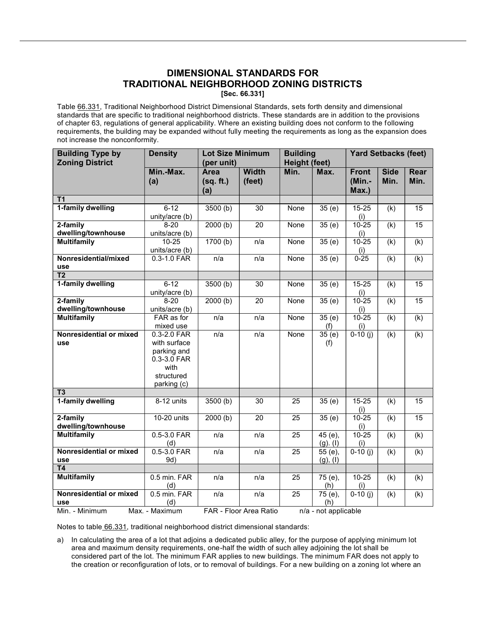### DIMENSIONAL STANDARDS FOR TRADITIONAL NEIGHBORHOOD ZONING DISTRICTS [Sec. 66.331]

Table 66.331, Traditional Neighborhood District Dimensional Standards, sets forth density and dimensional standards that are specific to traditional neighborhood districts. These standards are in addition to the provisions of chapter 63, regulations of general applicability. Where an existing building does not conform to the following requirements, the building may be expanded without fully meeting the requirements as long as the expansion does not increase the nonconformity.

| <b>Building Type by</b>               | <b>Density</b>                                                                                 | Lot Size Minimum                |                        | <b>Building</b> |                             | <b>Yard Setbacks (feet)</b>     |                     |                           |
|---------------------------------------|------------------------------------------------------------------------------------------------|---------------------------------|------------------------|-----------------|-----------------------------|---------------------------------|---------------------|---------------------------|
| <b>Zoning District</b>                |                                                                                                | (per unit)                      |                        | Height (feet)   |                             |                                 |                     |                           |
|                                       | Min.-Max.<br>(a)                                                                               | <b>Area</b><br>(sq. ft.)<br>(a) | <b>Width</b><br>(feet) | Min.            | Max.                        | <b>Front</b><br>(Min.-<br>Max.) | <b>Side</b><br>Min. | <b>Rear</b><br>Min.       |
| $\overline{11}$                       |                                                                                                |                                 |                        |                 |                             |                                 |                     |                           |
| 1-family dwelling                     | $6 - 12$<br>unity/acre (b)                                                                     | 3500(b)                         | $\overline{30}$        | None            | 35(e)                       | $15 - 25$<br>(i)                | (k)                 | $\overline{15}$           |
| 2-family<br>dwelling/townhouse        | $8 - 20$<br>units/acre (b)                                                                     | 2000(b)                         | 20                     | None            | 35(e)                       | $10 - 25$<br>(i)                | (k)                 | 15                        |
| <b>Multifamily</b>                    | $10 - 25$<br>units/acre (b)                                                                    | 1700(b)                         | n/a                    | None            | 35(e)                       | $10 - 25$<br>(i)                | (k)                 | (k)                       |
| Nonresidential/mixed<br>use           | $0.3 - 1.0$ FAR                                                                                | n/a                             | n/a                    | None            | 35(e)                       | $0 - 25$                        | (k)                 | (k)                       |
| $\overline{12}$                       |                                                                                                |                                 |                        |                 |                             |                                 |                     |                           |
| 1-family dwelling                     | $6 - 12$<br>unity/acre (b)                                                                     | 3500(b)                         | 30                     | None            | $\overline{35}$ (e)         | $15 - 25$<br>(i)                | (k)                 | $\overline{15}$           |
| 2-family<br>dwelling/townhouse        | $8-20$<br>units/acre (b)                                                                       | 2000(b)                         | 20                     | None            | $\overline{35}$ (e)         | $10 - 25$<br>(i)                | (k)                 | $\overline{15}$           |
| <b>Multifamily</b>                    | FAR as for<br>mixed use                                                                        | n/a                             | n/a                    | None            | $\overline{35}$ (e)<br>(f)  | $10 - 25$<br>(i)                | (k)                 | $\overline{(\mathsf{k})}$ |
| Nonresidential or mixed<br>use        | 0.3-2.0 FAR<br>with surface<br>parking and<br>0.3-3.0 FAR<br>with<br>structured<br>parking (c) | n/a                             | n/a                    | None            | $\overline{35}$ (e)<br>(f)  | $0-10(j)$                       | (k)                 | (k)                       |
| T <sub>3</sub>                        |                                                                                                |                                 |                        |                 |                             |                                 |                     |                           |
| 1-family dwelling                     | 8-12 units                                                                                     | 3500 <sub>(b)</sub>             | 30                     | 25              | 35(e)                       | $15 - 25$<br>(i)                | (k)                 | 15                        |
| 2-family<br>dwelling/townhouse        | 10-20 units                                                                                    | 2000(b)                         | $\overline{20}$        | $\overline{25}$ | $\overline{35}$ (e)         | $10 - 25$<br>(i)                | (k)                 | 15                        |
| <b>Multifamily</b>                    | 0.5-3.0 FAR<br>(d)                                                                             | n/a                             | n/a                    | 25              | $45(e)$ ,<br>$(g)$ . (I)    | $10 - 25$<br>(i)                | (k)                 | $\overline{(\mathsf{k})}$ |
| Nonresidential or mixed<br>use        | $0.5 - 3.0$ FAR<br>9d)                                                                         | n/a                             | n/a                    | $\overline{25}$ | 55 (e),<br>$(g)$ , $(I)$    | $0-10$ (j)                      | (k)                 | (k)                       |
| $\overline{14}$<br><b>Multifamily</b> | 0.5 min. FAR                                                                                   | n/a                             |                        |                 |                             |                                 |                     |                           |
|                                       | (d)                                                                                            |                                 | n/a                    | 25              | 75 (e),<br>(h)              | $10 - 25$<br>(i)                | (k)                 | (k)                       |
| Nonresidential or mixed<br>use        | 0.5 min. FAR<br>(d)                                                                            | n/a                             | n/a                    | $\overline{25}$ | $\overline{75}$ (e),<br>(h) | $0-10$ (j)                      | (k)                 | (k)                       |
| Min. - Minimum                        | Max. - Maximum                                                                                 |                                 | FAR - Floor Area Ratio |                 | n/a - not applicable        |                                 |                     |                           |

Notes to table 66.331, traditional neighborhood district dimensional standards:

a) In calculating the area of a lot that adjoins a dedicated public alley, for the purpose of applying minimum lot area and maximum density requirements, one-half the width of such alley adjoining the lot shall be considered part of the lot. The minimum FAR applies to new buildings. The minimum FAR does not apply to the creation or reconfiguration of lots, or to removal of buildings. For a new building on a zoning lot where an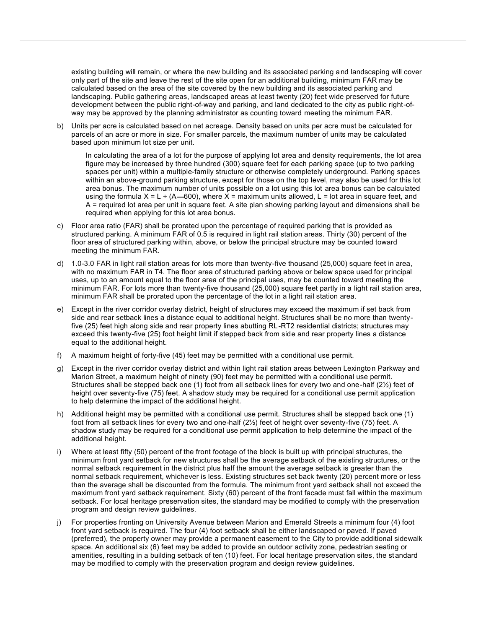existing building will remain, or where the new building and its associated parking and landscaping will cover only part of the site and leave the rest of the site open for an additional building, minimum FAR may be calculated based on the area of the site covered by the new building and its associated parking and landscaping. Public gathering areas, landscaped areas at least twenty (20) feet wide preserved for future development between the public right-of-way and parking, and land dedicated to the city as public right-ofway may be approved by the planning administrator as counting toward meeting the minimum FAR.

b) Units per acre is calculated based on net acreage. Density based on units per acre must be calculated for parcels of an acre or more in size. For smaller parcels, the maximum number of units may be calculated based upon minimum lot size per unit.

In calculating the area of a lot for the purpose of applying lot area and density requirements, the lot area figure may be increased by three hundred (300) square feet for each parking space (up to two parking spaces per unit) within a multiple-family structure or otherwise completely underground. Parking spaces within an above-ground parking structure, except for those on the top level, may also be used for this lot area bonus. The maximum number of units possible on a lot using this lot area bonus can be calculated using the formula  $X = L \div (A - 600)$ , where  $X =$  maximum units allowed, L = lot area in square feet, and A = required lot area per unit in square feet. A site plan showing parking layout and dimensions shall be required when applying for this lot area bonus.

- c) Floor area ratio (FAR) shall be prorated upon the percentage of required parking that is provided as structured parking. A minimum FAR of 0.5 is required in light rail station areas. Thirty (30) percent of the floor area of structured parking within, above, or below the principal structure may be counted toward meeting the minimum FAR.
- d) 1.0-3.0 FAR in light rail station areas for lots more than twenty-five thousand (25,000) square feet in area, with no maximum FAR in T4. The floor area of structured parking above or below space used for principal uses, up to an amount equal to the floor area of the principal uses, may be counted toward meeting the minimum FAR. For lots more than twenty-five thousand (25,000) square feet partly in a light rail station area, minimum FAR shall be prorated upon the percentage of the lot in a light rail station area.
- e) Except in the river corridor overlay district, height of structures may exceed the maximum if set back from side and rear setback lines a distance equal to additional height. Structures shall be no more than twentyfive (25) feet high along side and rear property lines abutting RL-RT2 residential districts; structures may exceed this twenty-five (25) foot height limit if stepped back from side and rear property lines a distance equal to the additional height.
- f) A maximum height of forty-five (45) feet may be permitted with a conditional use permit.
- g) Except in the river corridor overlay district and within light rail station areas between Lexington Parkway and Marion Street, a maximum height of ninety (90) feet may be permitted with a conditional use permit. Structures shall be stepped back one (1) foot from all setback lines for every two and one-half (2½) feet of height over seventy-five (75) feet. A shadow study may be required for a conditional use permit application to help determine the impact of the additional height.
- h) Additional height may be permitted with a conditional use permit. Structures shall be stepped back one (1) foot from all setback lines for every two and one-half (2½) feet of height over seventy-five (75) feet. A shadow study may be required for a conditional use permit application to help determine the impact of the additional height.
- i) Where at least fifty (50) percent of the front footage of the block is built up with principal structures, the minimum front yard setback for new structures shall be the average setback of the existing structures, or the normal setback requirement in the district plus half the amount the average setback is greater than the normal setback requirement, whichever is less. Existing structures set back twenty (20) percent more or less than the average shall be discounted from the formula. The minimum front yard setback shall not exceed the maximum front yard setback requirement. Sixty (60) percent of the front facade must fall within the maximum setback. For local heritage preservation sites, the standard may be modified to comply with the preservation program and design review guidelines.
- j) For properties fronting on University Avenue between Marion and Emerald Streets a minimum four (4) foot front yard setback is required. The four (4) foot setback shall be either landscaped or paved. If paved (preferred), the property owner may provide a permanent easement to the City to provide additional sidewalk space. An additional six (6) feet may be added to provide an outdoor activity zone, pedestrian seating or amenities, resulting in a building setback of ten (10) feet. For local heritage preservation sites, the standard may be modified to comply with the preservation program and design review guidelines.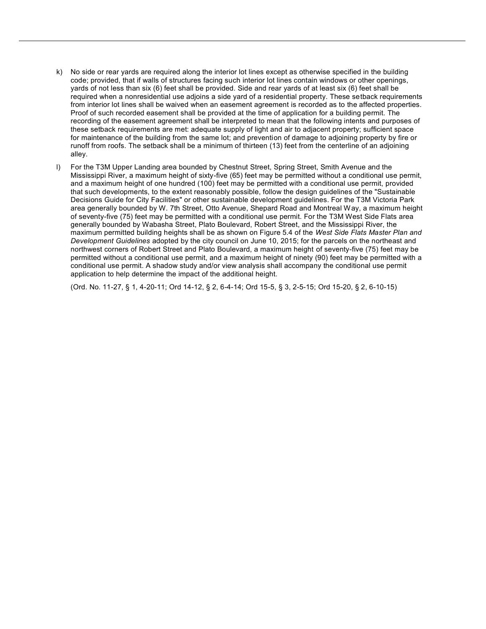- k) No side or rear yards are required along the interior lot lines except as otherwise specified in the building code; provided, that if walls of structures facing such interior lot lines contain windows or other openings, yards of not less than six (6) feet shall be provided. Side and rear yards of at least six (6) feet shall be required when a nonresidential use adjoins a side yard of a residential property. These setback requirements from interior lot lines shall be waived when an easement agreement is recorded as to the affected properties. Proof of such recorded easement shall be provided at the time of application for a building permit. The recording of the easement agreement shall be interpreted to mean that the following intents and purposes of these setback requirements are met: adequate supply of light and air to adjacent property; sufficient space for maintenance of the building from the same lot; and prevention of damage to adjoining property by fire or runoff from roofs. The setback shall be a minimum of thirteen (13) feet from the centerline of an adjoining alley.
- l) For the T3M Upper Landing area bounded by Chestnut Street, Spring Street, Smith Avenue and the Mississippi River, a maximum height of sixty-five (65) feet may be permitted without a conditional use permit, and a maximum height of one hundred (100) feet may be permitted with a conditional use permit, provided that such developments, to the extent reasonably possible, follow the design guidelines of the "Sustainable Decisions Guide for City Facilities" or other sustainable development guidelines. For the T3M Victoria Park area generally bounded by W. 7th Street, Otto Avenue, Shepard Road and Montreal Way, a maximum height of seventy-five (75) feet may be permitted with a conditional use permit. For the T3M West Side Flats area generally bounded by Wabasha Street, Plato Boulevard, Robert Street, and the Mississippi River, the maximum permitted building heights shall be as shown on Figure 5.4 of the West Side Flats Master Plan and Development Guidelines adopted by the city council on June 10, 2015; for the parcels on the northeast and northwest corners of Robert Street and Plato Boulevard, a maximum height of seventy-five (75) feet may be permitted without a conditional use permit, and a maximum height of ninety (90) feet may be permitted with a conditional use permit. A shadow study and/or view analysis shall accompany the conditional use permit application to help determine the impact of the additional height.

(Ord. No. 11-27, § 1, 4-20-11; Ord 14-12, § 2, 6-4-14; Ord 15-5, § 3, 2-5-15; Ord 15-20, § 2, 6-10-15)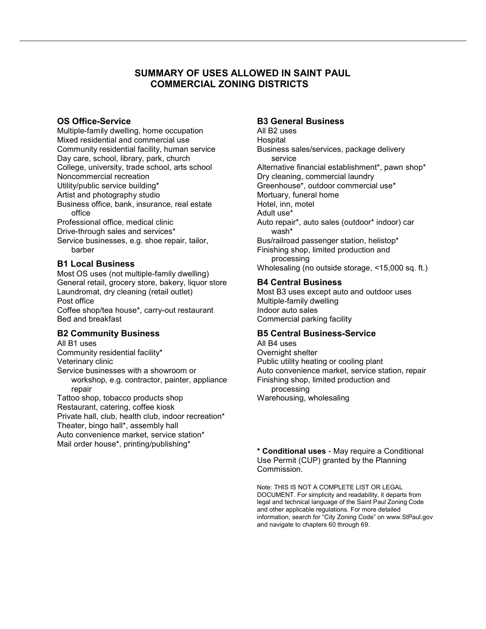# SUMMARY OF USES ALLOWED IN SAINT PAUL COMMERCIAL ZONING DISTRICTS

#### OS Office-Service

Multiple-family dwelling, home occupation Mixed residential and commercial use Community residential facility, human service Day care, school, library, park, church College, university, trade school, arts school Noncommercial recreation Utility/public service building\* Artist and photography studio Business office, bank, insurance, real estate office Professional office, medical clinic Drive-through sales and services\* Service businesses, e.g. shoe repair, tailor, barber

### B1 Local Business

Most OS uses (not multiple-family dwelling) General retail, grocery store, bakery, liquor store Laundromat, dry cleaning (retail outlet) Post office Coffee shop/tea house\*, carry-out restaurant Bed and breakfast

### B2 Community Business

All B1 uses Community residential facility\* Veterinary clinic Service businesses with a showroom or workshop, e.g. contractor, painter, appliance repair Tattoo shop, tobacco products shop Restaurant, catering, coffee kiosk Private hall, club, health club, indoor recreation\*

Theater, bingo hall\*, assembly hall Auto convenience market, service station\* Mail order house\*, printing/publishing\*

### B3 General Business

All B2 uses **Hospital** Business sales/services, package delivery service Alternative financial establishment\*, pawn shop\* Dry cleaning, commercial laundry Greenhouse\*, outdoor commercial use\* Mortuary, funeral home Hotel, inn, motel Adult use\* Auto repair\*, auto sales (outdoor\* indoor) car wash\* Bus/railroad passenger station, helistop\* Finishing shop, limited production and processing Wholesaling (no outside storage, <15,000 sq. ft.)

### B4 Central Business

Most B3 uses except auto and outdoor uses Multiple-family dwelling Indoor auto sales Commercial parking facility

### B5 Central Business-Service

All B4 uses Overnight shelter Public utility heating or cooling plant Auto convenience market, service station, repair Finishing shop, limited production and processing Warehousing, wholesaling

\* Conditional uses - May require a Conditional Use Permit (CUP) granted by the Planning Commission.

Note: THIS IS NOT A COMPLETE LIST OR LEGAL DOCUMENT. For simplicity and readability, it departs from legal and technical language of the Saint Paul Zoning Code and other applicable regulations. For more detailed information, search for "City Zoning Code" on www.StPaul.gov and navigate to chapters 60 through 69.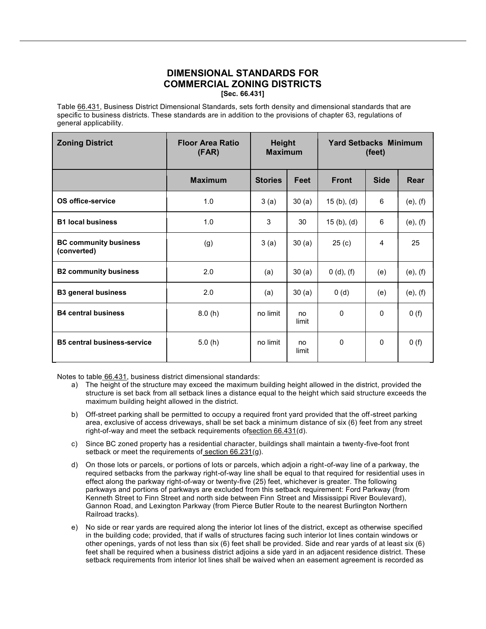### DIMENSIONAL STANDARDS FOR COMMERCIAL ZONING DISTRICTS [Sec. 66.431]

Table 66.431, Business District Dimensional Standards, sets forth density and dimensional standards that are specific to business districts. These standards are in addition to the provisions of chapter 63, regulations of general applicability.

| <b>Zoning District</b>                      | <b>Floor Area Ratio</b><br>(FAR) | <b>Height</b><br><b>Maximum</b> |             | <b>Yard Setbacks Minimum</b><br>(feet) |              |               |
|---------------------------------------------|----------------------------------|---------------------------------|-------------|----------------------------------------|--------------|---------------|
|                                             | <b>Maximum</b>                   | <b>Stories</b>                  | Feet        | <b>Front</b>                           | <b>Side</b>  | Rear          |
| OS office-service                           | 1.0                              | 3(a)                            | 30(a)       | $15(b)$ , (d)                          | 6            | $(e)$ , $(f)$ |
| <b>B1 local business</b>                    | 1.0                              | 3                               | 30          | 15(b), (d)                             | 6            | $(e)$ , $(f)$ |
| <b>BC community business</b><br>(converted) | (g)                              | 3(a)                            | 30(a)       | 25 <sub>(c)</sub>                      | 4            | 25            |
| <b>B2 community business</b>                | 2.0                              | (a)                             | 30(a)       | 0(d), (f)                              | (e)          | $(e)$ , $(f)$ |
| <b>B3 general business</b>                  | 2.0                              | (a)                             | 30(a)       | 0(d)                                   | (e)          | $(e)$ , $(f)$ |
| <b>B4 central business</b>                  | 8.0(h)                           | no limit                        | no<br>limit | $\Omega$                               | $\mathbf{0}$ | 0(f)          |
| <b>B5 central business-service</b>          | 5.0(h)                           | no limit                        | no<br>limit | $\Omega$                               | $\mathbf{0}$ | 0(f)          |

Notes to table 66.431, business district dimensional standards:

- a) The height of the structure may exceed the maximum building height allowed in the district, provided the structure is set back from all setback lines a distance equal to the height which said structure exceeds the maximum building height allowed in the district.
- b) Off-street parking shall be permitted to occupy a required front yard provided that the off-street parking area, exclusive of access driveways, shall be set back a minimum distance of six (6) feet from any street right-of-way and meet the setback requirements ofsection 66.431(d).
- c) Since BC zoned property has a residential character, buildings shall maintain a twenty-five-foot front setback or meet the requirements of section 66.231(g).
- d) On those lots or parcels, or portions of lots or parcels, which adjoin a right-of-way line of a parkway, the required setbacks from the parkway right-of-way line shall be equal to that required for residential uses in effect along the parkway right-of-way or twenty-five (25) feet, whichever is greater. The following parkways and portions of parkways are excluded from this setback requirement: Ford Parkway (from Kenneth Street to Finn Street and north side between Finn Street and Mississippi River Boulevard), Gannon Road, and Lexington Parkway (from Pierce Butler Route to the nearest Burlington Northern Railroad tracks).
- e) No side or rear yards are required along the interior lot lines of the district, except as otherwise specified in the building code; provided, that if walls of structures facing such interior lot lines contain windows or other openings, yards of not less than six (6) feet shall be provided. Side and rear yards of at least six (6) feet shall be required when a business district adjoins a side yard in an adjacent residence district. These setback requirements from interior lot lines shall be waived when an easement agreement is recorded as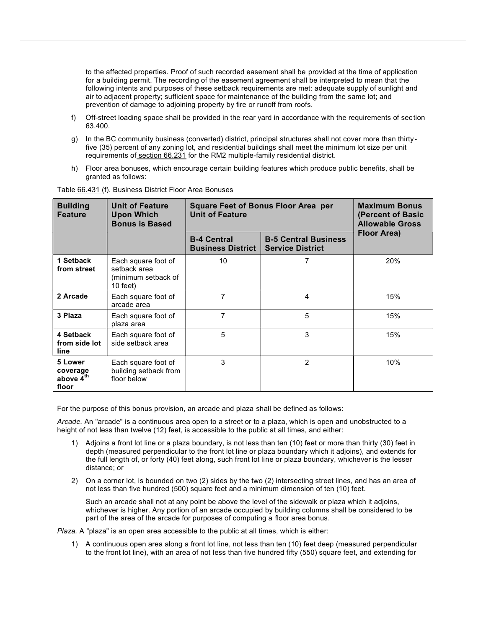to the affected properties. Proof of such recorded easement shall be provided at the time of application for a building permit. The recording of the easement agreement shall be interpreted to mean that the following intents and purposes of these setback requirements are met: adequate supply of sunlight and air to adjacent property; sufficient space for maintenance of the building from the same lot; and prevention of damage to adjoining property by fire or runoff from roofs.

- f) Off-street loading space shall be provided in the rear yard in accordance with the requirements of section 63.400.
- g) In the BC community business (converted) district, principal structures shall not cover more than thirtyfive (35) percent of any zoning lot, and residential buildings shall meet the minimum lot size per unit requirements of section 66.231 for the RM2 multiple-family residential district.
- h) Floor area bonuses, which encourage certain building features which produce public benefits, shall be granted as follows:

| <b>Building</b><br><b>Feature</b>                     | <b>Unit of Feature</b><br><b>Upon Which</b><br><b>Bonus is Based</b>      | <b>Square Feet of Bonus Floor Area per</b><br><b>Unit of Feature</b> | <b>Maximum Bonus</b><br>(Percent of Basic<br><b>Allowable Gross</b><br>Floor Area) |     |
|-------------------------------------------------------|---------------------------------------------------------------------------|----------------------------------------------------------------------|------------------------------------------------------------------------------------|-----|
|                                                       | <b>B-4 Central</b><br><b>Business District</b><br><b>Service District</b> |                                                                      |                                                                                    |     |
| 1 Setback<br>from street                              | Each square foot of<br>setback area<br>(minimum setback of<br>$10$ feet)  | 10                                                                   | 7                                                                                  | 20% |
| 2 Arcade                                              | Each square foot of<br>arcade area                                        | 7                                                                    | 4                                                                                  | 15% |
| 3 Plaza                                               | Each square foot of<br>plaza area                                         | 7                                                                    | 5                                                                                  | 15% |
| 4 Setback<br>from side lot<br>line                    | Each square foot of<br>side setback area                                  | 5                                                                    | 3                                                                                  | 15% |
| 5 Lower<br>coverage<br>above 4 <sup>th</sup><br>floor | Each square foot of<br>building setback from<br>floor below               | 3                                                                    | 2                                                                                  | 10% |

Table 66.431 (f). Business District Floor Area Bonuses

For the purpose of this bonus provision, an arcade and plaza shall be defined as follows:

Arcade. An "arcade" is a continuous area open to a street or to a plaza, which is open and unobstructed to a height of not less than twelve (12) feet, is accessible to the public at all times, and either:

- 1) Adjoins a front lot line or a plaza boundary, is not less than ten (10) feet or more than thirty (30) feet in depth (measured perpendicular to the front lot line or plaza boundary which it adjoins), and extends for the full length of, or forty (40) feet along, such front lot line or plaza boundary, whichever is the lesser distance; or
- 2) On a corner lot, is bounded on two (2) sides by the two (2) intersecting street lines, and has an area of not less than five hundred (500) square feet and a minimum dimension of ten (10) feet.

Such an arcade shall not at any point be above the level of the sidewalk or plaza which it adjoins, whichever is higher. Any portion of an arcade occupied by building columns shall be considered to be part of the area of the arcade for purposes of computing a floor area bonus.

Plaza. A "plaza" is an open area accessible to the public at all times, which is either:

1) A continuous open area along a front lot line, not less than ten (10) feet deep (measured perpendicular to the front lot line), with an area of not less than five hundred fifty (550) square feet, and extending for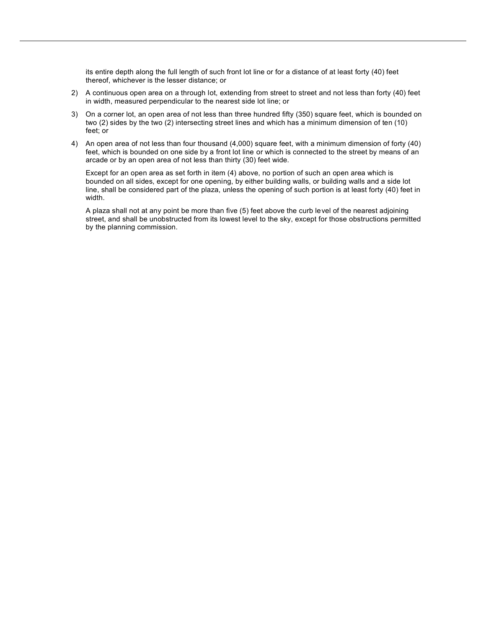its entire depth along the full length of such front lot line or for a distance of at least forty (40) feet thereof, whichever is the lesser distance; or

- 2) A continuous open area on a through lot, extending from street to street and not less than forty (40) feet in width, measured perpendicular to the nearest side lot line; or
- 3) On a corner lot, an open area of not less than three hundred fifty (350) square feet, which is bounded on two (2) sides by the two (2) intersecting street lines and which has a minimum dimension of ten (10) feet; or
- 4) An open area of not less than four thousand (4,000) square feet, with a minimum dimension of forty (40) feet, which is bounded on one side by a front lot line or which is connected to the street by means of an arcade or by an open area of not less than thirty (30) feet wide.

Except for an open area as set forth in item (4) above, no portion of such an open area which is bounded on all sides, except for one opening, by either building walls, or building walls and a side lot line, shall be considered part of the plaza, unless the opening of such portion is at least forty (40) feet in width.

A plaza shall not at any point be more than five (5) feet above the curb level of the nearest adjoining street, and shall be unobstructed from its lowest level to the sky, except for those obstructions permitted by the planning commission.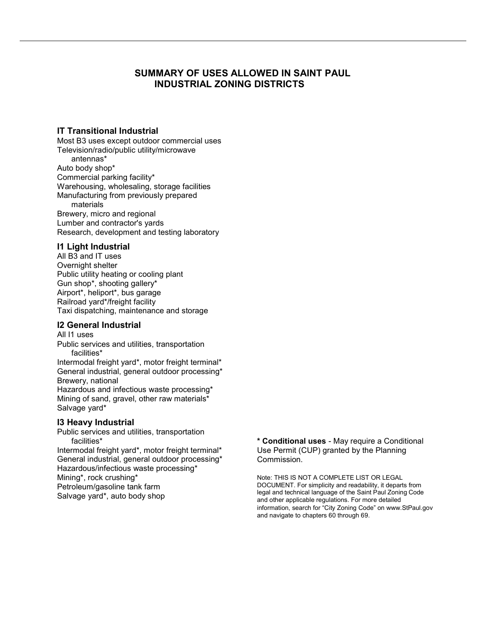## SUMMARY OF USES ALLOWED IN SAINT PAUL INDUSTRIAL ZONING DISTRICTS

### IT Transitional Industrial

Most B3 uses except outdoor commercial uses Television/radio/public utility/microwave antennas\* Auto body shop\* Commercial parking facility\* Warehousing, wholesaling, storage facilities Manufacturing from previously prepared materials Brewery, micro and regional Lumber and contractor's yards Research, development and testing laboratory

#### I1 Light Industrial

All B3 and IT uses Overnight shelter Public utility heating or cooling plant Gun shop\*, shooting gallery\* Airport\*, heliport\*, bus garage Railroad yard\*/freight facility Taxi dispatching, maintenance and storage

### I2 General Industrial

All I1 uses Public services and utilities, transportation facilities\*

Intermodal freight yard\*, motor freight terminal\* General industrial, general outdoor processing\* Brewery, national

Hazardous and infectious waste processing\* Mining of sand, gravel, other raw materials\* Salvage yard\*

### I3 Heavy Industrial

Public services and utilities, transportation facilities\*

Intermodal freight yard\*, motor freight terminal\* General industrial, general outdoor processing\* Hazardous/infectious waste processing\* Mining\*, rock crushing\* Petroleum/gasoline tank farm Salvage yard\*, auto body shop

\* Conditional uses - May require a Conditional Use Permit (CUP) granted by the Planning Commission.

Note: THIS IS NOT A COMPLETE LIST OR LEGAL DOCUMENT. For simplicity and readability, it departs from legal and technical language of the Saint Paul Zoning Code and other applicable regulations. For more detailed information, search for "City Zoning Code" on www.StPaul.gov and navigate to chapters 60 through 69.